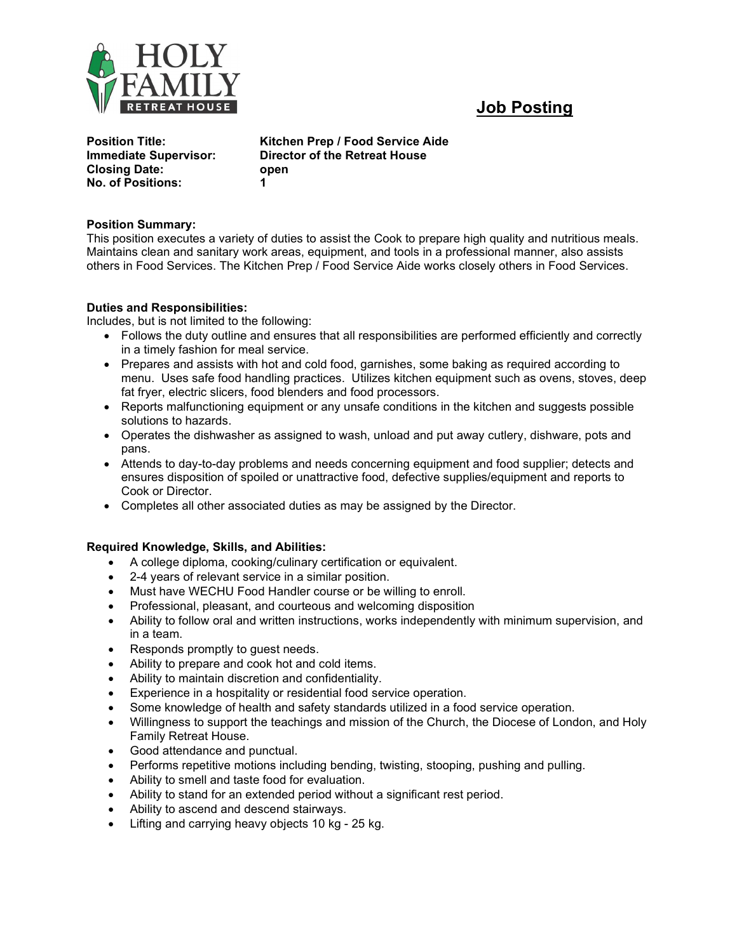

# Job Posting

| <b>Position Title:</b>                                                           | Κi            |
|----------------------------------------------------------------------------------|---------------|
| <b>Immediate Supervisor:</b><br><b>Closing Date:</b><br><b>No. of Positions:</b> | Di<br>Οľ<br>1 |

Kitchen Prep / Food Service Aide Director of the Retreat House open

## Position Summary:

This position executes a variety of duties to assist the Cook to prepare high quality and nutritious meals. Maintains clean and sanitary work areas, equipment, and tools in a professional manner, also assists others in Food Services. The Kitchen Prep / Food Service Aide works closely others in Food Services.

## Duties and Responsibilities:

Includes, but is not limited to the following:

- Follows the duty outline and ensures that all responsibilities are performed efficiently and correctly in a timely fashion for meal service.
- Prepares and assists with hot and cold food, garnishes, some baking as required according to menu. Uses safe food handling practices. Utilizes kitchen equipment such as ovens, stoves, deep fat fryer, electric slicers, food blenders and food processors.
- Reports malfunctioning equipment or any unsafe conditions in the kitchen and suggests possible solutions to hazards.
- Operates the dishwasher as assigned to wash, unload and put away cutlery, dishware, pots and pans.
- Attends to day-to-day problems and needs concerning equipment and food supplier; detects and ensures disposition of spoiled or unattractive food, defective supplies/equipment and reports to Cook or Director.
- Completes all other associated duties as may be assigned by the Director.

#### Required Knowledge, Skills, and Abilities:

- A college diploma, cooking/culinary certification or equivalent.
- 2-4 years of relevant service in a similar position.
- Must have WECHU Food Handler course or be willing to enroll.
- Professional, pleasant, and courteous and welcoming disposition
- Ability to follow oral and written instructions, works independently with minimum supervision, and in a team.
- Responds promptly to guest needs.
- Ability to prepare and cook hot and cold items.
- Ability to maintain discretion and confidentiality.
- Experience in a hospitality or residential food service operation.
- Some knowledge of health and safety standards utilized in a food service operation.
- Willingness to support the teachings and mission of the Church, the Diocese of London, and Holy Family Retreat House.
- Good attendance and punctual.
- Performs repetitive motions including bending, twisting, stooping, pushing and pulling.
- Ability to smell and taste food for evaluation.
- Ability to stand for an extended period without a significant rest period.
- Ability to ascend and descend stairways.
- Lifting and carrying heavy objects 10 kg 25 kg.